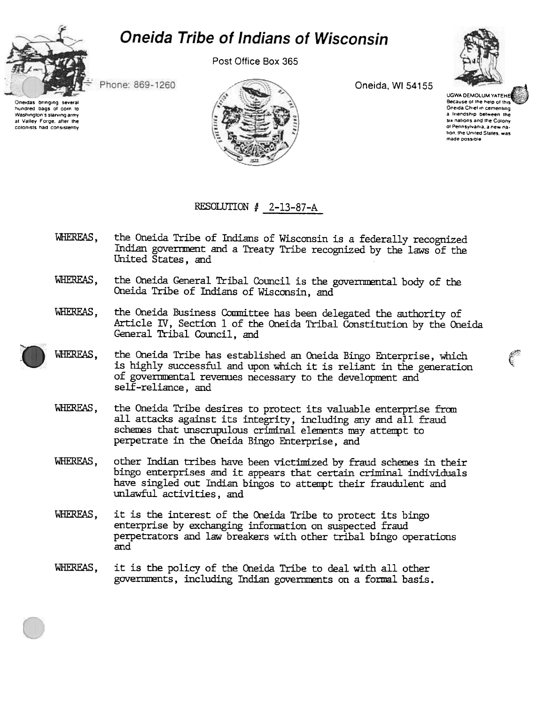

Post Office Box 365



hundred bags of corn to

Washington's starving army

at Valley Forge, after the

colonists had consistently

Oneida, WI 54155

**UGWA DEMOLUM YATEHER** Because of the help of this Oneida Chief in cementing a friendship between the six nations and the Colony of Pennsylvania, a new nation, the United States, was made possible

Phone: 869-1260





## RESOLUTION  $\sharp$  2-13-87-A

- WHEREAS. the Oneida Tribe of Indians of Wisconsin is a federally recognized Indian government and a Treaty Tribe recognized by the laws of the United States, and
- the Oneida General Tribal Council is the governmental body of the WHEREAS. Oneida Tribe of Indians of Wisconsin, and
- the Oneida Business Committee has been delegated the authority of WHEREAS, Article IV, Section 1 of the Oneida Tribal Constitution by the Oneida General Tribal Council, and
- WHEREAS. the Oneida Tribe has established an Oneida Bingo Enterprise, which is highly successful and upon which it is reliant in the generation of governmental revenues necessary to the development and self-reliance, and
	- WHEREAS. the Oneida Tribe desires to protect its valuable enterprise from all attacks against its integrity, including any and all fraud schemes that unscrupulous criminal elements may attempt to perpetrate in the Oneida Bingo Enterprise, and
- WHEREAS. other Indian tribes have been victimized by fraud schemes in their bingo enterprises and it appears that certain criminal individuals have singled out Indian bingos to attempt their fraudulent and unlawful activities, and
- it is the interest of the Oneida Tribe to protect its bingo WHEREAS. enterprise by exchanging information on suspected fraud perpetrators and law breakers with other tribal bingo operations and
- WHEREAS. it is the policy of the Oneida Tribe to deal with all other governments, including Indian governments on a formal basis.